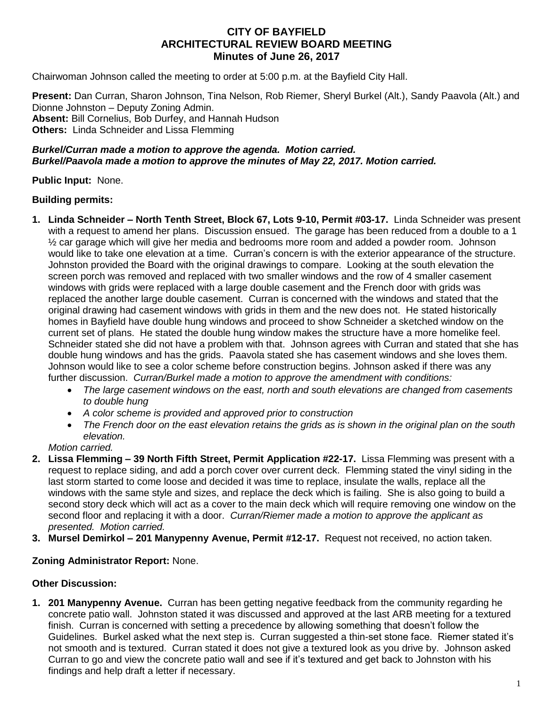# **CITY OF BAYFIELD ARCHITECTURAL REVIEW BOARD MEETING Minutes of June 26, 2017**

Chairwoman Johnson called the meeting to order at 5:00 p.m. at the Bayfield City Hall.

**Present:** Dan Curran, Sharon Johnson, Tina Nelson, Rob Riemer, Sheryl Burkel (Alt.), Sandy Paavola (Alt.) and Dionne Johnston – Deputy Zoning Admin. **Absent:** Bill Cornelius, Bob Durfey, and Hannah Hudson **Others:** Linda Schneider and Lissa Flemming

#### *Burkel/Curran made a motion to approve the agenda. Motion carried. Burkel/Paavola made a motion to approve the minutes of May 22, 2017. Motion carried.*

**Public Input:** None.

### **Building permits:**

- **1. Linda Schneider – North Tenth Street, Block 67, Lots 9-10, Permit #03-17.** Linda Schneider was present with a request to amend her plans. Discussion ensued. The garage has been reduced from a double to a 1  $\frac{1}{2}$  car garage which will give her media and bedrooms more room and added a powder room. Johnson would like to take one elevation at a time. Curran's concern is with the exterior appearance of the structure. Johnston provided the Board with the original drawings to compare. Looking at the south elevation the screen porch was removed and replaced with two smaller windows and the row of 4 smaller casement windows with grids were replaced with a large double casement and the French door with grids was replaced the another large double casement. Curran is concerned with the windows and stated that the original drawing had casement windows with grids in them and the new does not. He stated historically homes in Bayfield have double hung windows and proceed to show Schneider a sketched window on the current set of plans. He stated the double hung window makes the structure have a more homelike feel. Schneider stated she did not have a problem with that. Johnson agrees with Curran and stated that she has double hung windows and has the grids. Paavola stated she has casement windows and she loves them. Johnson would like to see a color scheme before construction begins. Johnson asked if there was any further discussion. *Curran/Burkel made a motion to approve the amendment with conditions:* 
	- *The large casement windows on the east, north and south elevations are changed from casements to double hung*
	- *A color scheme is provided and approved prior to construction*
	- *The French door on the east elevation retains the grids as is shown in the original plan on the south elevation.*

*Motion carried.*

- **2. Lissa Flemming – 39 North Fifth Street, Permit Application #22-17.** Lissa Flemming was present with a request to replace siding, and add a porch cover over current deck. Flemming stated the vinyl siding in the last storm started to come loose and decided it was time to replace, insulate the walls, replace all the windows with the same style and sizes, and replace the deck which is failing. She is also going to build a second story deck which will act as a cover to the main deck which will require removing one window on the second floor and replacing it with a door. *Curran/Riemer made a motion to approve the applicant as presented. Motion carried.*
- **3. Mursel Demirkol – 201 Manypenny Avenue, Permit #12-17.** Request not received, no action taken.

## **Zoning Administrator Report:** None.

## **Other Discussion:**

**1. 201 Manypenny Avenue.** Curran has been getting negative feedback from the community regarding he concrete patio wall. Johnston stated it was discussed and approved at the last ARB meeting for a textured finish. Curran is concerned with setting a precedence by allowing something that doesn't follow the Guidelines. Burkel asked what the next step is. Curran suggested a thin-set stone face. Riemer stated it's not smooth and is textured. Curran stated it does not give a textured look as you drive by. Johnson asked Curran to go and view the concrete patio wall and see if it's textured and get back to Johnston with his findings and help draft a letter if necessary.